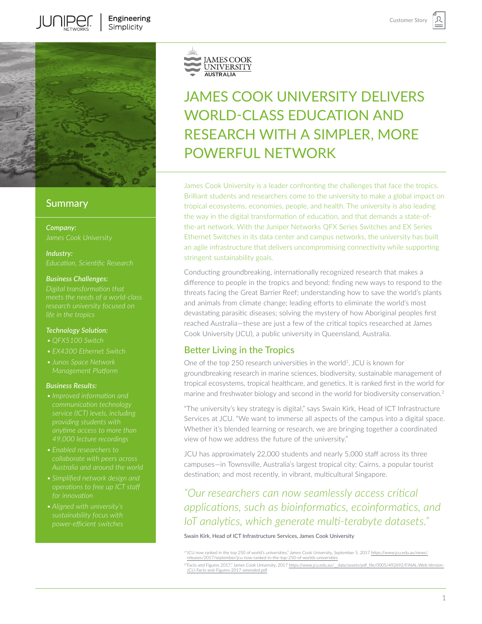

**JUNIPER** 

## **Summary**

*Company:*

*Industry:*

#### *Business Challenges:*

#### *Technology Solution:*

- 
- 
- *• Junos Space Network*

#### *Business Results:*

- *anytime access to more than*
- 
- 
- 



# JAMES COOK UNIVERSITY DELIVERS WORLD-CLASS EDUCATION AND RESEARCH WITH A SIMPLER, MORE POWERFUL NETWORK

James Cook University is a leader confronting the challenges that face the tropics. Brilliant students and researchers come to the university to make a global impact on tropical ecosystems, economies, people, and health. The university is also leading the way in the digital transformation of education, and that demands a state-ofthe-art network. With the Juniper Networks QFX Series Switches and EX Series Ethernet Switches in its data center and campus networks, the university has built an agile infrastructure that delivers uncompromising connectivity while supporting stringent sustainability goals.

Conducting groundbreaking, internationally recognized research that makes a difference to people in the tropics and beyond; finding new ways to respond to the threats facing the Great Barrier Reef; understanding how to save the world's plants and animals from climate change; leading efforts to eliminate the world's most devastating parasitic diseases; solving the mystery of how Aboriginal peoples first reached Australia—these are just a few of the critical topics researched at James Cook University (JCU), a public university in Queensland, Australia.

# Better Living in the Tropics

One of the top 250 research universities in the world<sup>1</sup>, JCU is known for groundbreaking research in marine sciences, biodiversity, sustainable management of tropical ecosystems, tropical healthcare, and genetics. It is ranked first in the world for marine and freshwater biology and second in the world for biodiversity conservation.2

"The university's key strategy is digital," says Swain Kirk, Head of ICT Infrastructure Services at JCU. "We want to immerse all aspects of the campus into a digital space. Whether it's blended learning or research, we are bringing together a coordinated view of how we address the future of the university."

JCU has approximately 22,000 students and nearly 5,000 staff across its three campuses—in Townsville, Australia's largest tropical city; Cairns, a popular tourist destination; and most recently, in vibrant, multicultural Singapore.

*"Our researchers can now seamlessly access critical applications, such as bioinformatics, ecoinformatics, and IoT analytics, which generate multi-terabyte datasets."* 

Swain Kirk, Head of ICT Infrastructure Services, James Cook University

<sup>1</sup>"JCU now ranked in the top 250 of world's universities," James Cook University, September 5, 2017 [https://www.jcu.edu.au/news/](https://www.jcu.edu.au/news/releases/2017/september/jcu-now-ranked-in-the-top-250-of-worlds-universities) [releases/2017/september/jcu-now-ranked-in-the-top-250-of-worlds-universities](https://www.jcu.edu.au/news/releases/2017/september/jcu-now-ranked-in-the-top-250-of-worlds-universities)

<sup>2&</sup>quot;Facts and Figures 2017," James Cook University, 2017 [https://www.jcu.edu.au/\\_\\_data/assets/pdf\\_file/0005/492692/FINAL-Web-Version-](https://www.jcu.edu.au/__data/assets/pdf_file/0005/492692/FINAL-Web-Version-JCU-Facts-and-Figures-2017-amended.pdf)[JCU-Facts-and-Figures-2017-amended.pdf](https://www.jcu.edu.au/__data/assets/pdf_file/0005/492692/FINAL-Web-Version-JCU-Facts-and-Figures-2017-amended.pdf)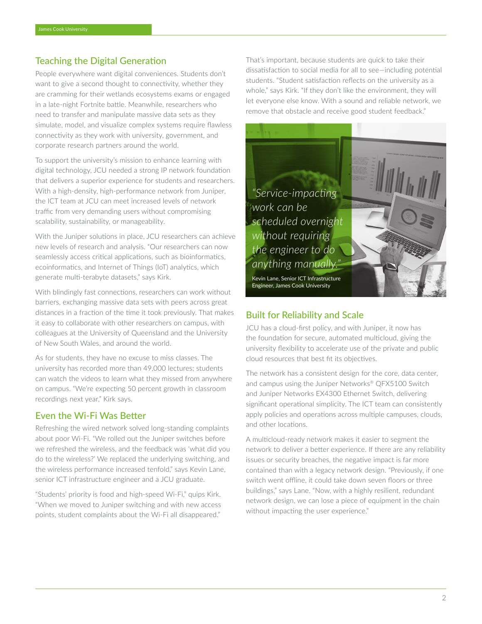# Teaching the Digital Generation

People everywhere want digital conveniences. Students don't want to give a second thought to connectivity, whether they are cramming for their wetlands ecosystems exams or engaged in a late-night Fortnite battle. Meanwhile, researchers who need to transfer and manipulate massive data sets as they simulate, model, and visualize complex systems require flawless connectivity as they work with university, government, and corporate research partners around the world.

To support the university's mission to enhance learning with digital technology, JCU needed a strong IP network foundation that delivers a superior experience for students and researchers. With a high-density, high-performance network from Juniper, the ICT team at JCU can meet increased levels of network traffic from very demanding users without compromising scalability, sustainability, or manageability.

With the Juniper solutions in place, JCU researchers can achieve new levels of research and analysis. "Our researchers can now seamlessly access critical applications, such as bioinformatics, ecoinformatics, and Internet of Things (IoT) analytics, which generate multi-terabyte datasets," says Kirk.

With blindingly fast connections, researchers can work without barriers, exchanging massive data sets with peers across great distances in a fraction of the time it took previously. That makes it easy to collaborate with other researchers on campus, with colleagues at the University of Queensland and the University of New South Wales, and around the world.

As for students, they have no excuse to miss classes. The university has recorded more than 49,000 lectures; students can watch the videos to learn what they missed from anywhere on campus. "We're expecting 50 percent growth in classroom recordings next year," Kirk says.

## Even the Wi-Fi Was Better

Refreshing the wired network solved long-standing complaints about poor Wi-Fi. "We rolled out the Juniper switches before we refreshed the wireless, and the feedback was 'what did you do to the wireless?' We replaced the underlying switching, and the wireless performance increased tenfold," says Kevin Lane, senior ICT infrastructure engineer and a JCU graduate.

"Students' priority is food and high-speed Wi-Fi," quips Kirk. "When we moved to Juniper switching and with new access points, student complaints about the Wi-Fi all disappeared."

That's important, because students are quick to take their dissatisfaction to social media for all to see—including potential students. "Student satisfaction reflects on the university as a whole," says Kirk. "If they don't like the environment, they will let everyone else know. With a sound and reliable network, we remove that obstacle and receive good student feedback."



# Built for Reliability and Scale

JCU has a cloud-first policy, and with Juniper, it now has the foundation for secure, automated multicloud, giving the university flexibility to accelerate use of the private and public cloud resources that best fit its objectives.

The network has a consistent design for the core, data center, and campus using the Juniper Networks® QFX5100 Switch and Juniper Networks EX4300 Ethernet Switch, delivering significant operational simplicity. The ICT team can consistently apply policies and operations across multiple campuses, clouds, and other locations.

A multicloud-ready network makes it easier to segment the network to deliver a better experience. If there are any reliability issues or security breaches, the negative impact is far more contained than with a legacy network design. "Previously, if one switch went offline, it could take down seven floors or three buildings," says Lane. "Now, with a highly resilient, redundant network design, we can lose a piece of equipment in the chain without impacting the user experience."